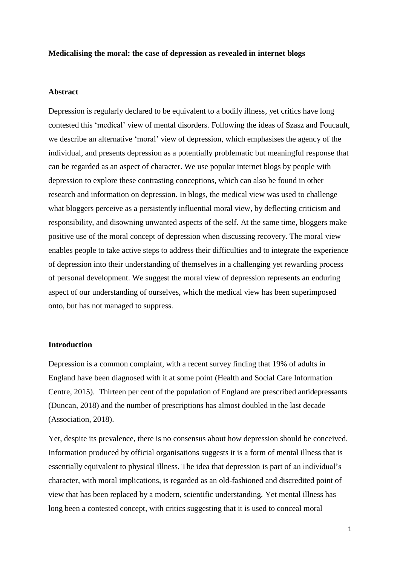## **Medicalising the moral: the case of depression as revealed in internet blogs**

# **Abstract**

Depression is regularly declared to be equivalent to a bodily illness, yet critics have long contested this 'medical' view of mental disorders. Following the ideas of Szasz and Foucault, we describe an alternative 'moral' view of depression, which emphasises the agency of the individual, and presents depression as a potentially problematic but meaningful response that can be regarded as an aspect of character. We use popular internet blogs by people with depression to explore these contrasting conceptions, which can also be found in other research and information on depression. In blogs, the medical view was used to challenge what bloggers perceive as a persistently influential moral view, by deflecting criticism and responsibility, and disowning unwanted aspects of the self. At the same time, bloggers make positive use of the moral concept of depression when discussing recovery. The moral view enables people to take active steps to address their difficulties and to integrate the experience of depression into their understanding of themselves in a challenging yet rewarding process of personal development. We suggest the moral view of depression represents an enduring aspect of our understanding of ourselves, which the medical view has been superimposed onto, but has not managed to suppress.

# **Introduction**

Depression is a common complaint, with a recent survey finding that 19% of adults in England have been diagnosed with it at some point [\(Health and Social Care Information](#page-22-0)  [Centre, 2015\)](#page-22-0). Thirteen per cent of the population of England are prescribed antidepressants [\(Duncan, 2018\)](#page-22-1) and the number of prescriptions has almost doubled in the last decade [\(Association, 2018\)](#page-21-0).

Yet, despite its prevalence, there is no consensus about how depression should be conceived. Information produced by official organisations suggests it is a form of mental illness that is essentially equivalent to physical illness. The idea that depression is part of an individual's character, with moral implications, is regarded as an old-fashioned and discredited point of view that has been replaced by a modern, scientific understanding. Yet mental illness has long been a contested concept, with critics suggesting that it is used to conceal moral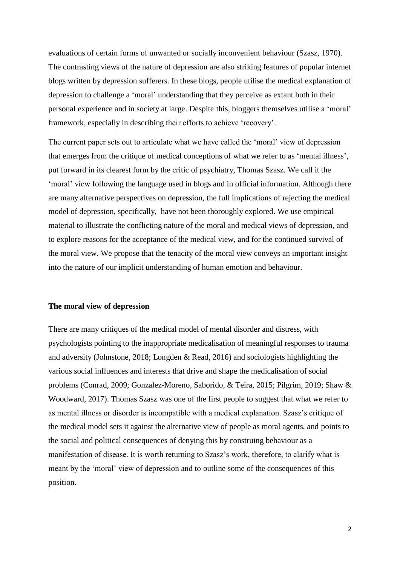evaluations of certain forms of unwanted or socially inconvenient behaviour [\(Szasz, 1970\)](#page-24-0). The contrasting views of the nature of depression are also striking features of popular internet blogs written by depression sufferers. In these blogs, people utilise the medical explanation of depression to challenge a 'moral' understanding that they perceive as extant both in their personal experience and in society at large. Despite this, bloggers themselves utilise a 'moral' framework, especially in describing their efforts to achieve 'recovery'.

The current paper sets out to articulate what we have called the 'moral' view of depression that emerges from the critique of medical conceptions of what we refer to as 'mental illness', put forward in its clearest form by the critic of psychiatry, Thomas Szasz. We call it the 'moral' view following the language used in blogs and in official information. Although there are many alternative perspectives on depression, the full implications of rejecting the medical model of depression, specifically, have not been thoroughly explored. We use empirical material to illustrate the conflicting nature of the moral and medical views of depression, and to explore reasons for the acceptance of the medical view, and for the continued survival of the moral view. We propose that the tenacity of the moral view conveys an important insight into the nature of our implicit understanding of human emotion and behaviour.

## **The moral view of depression**

There are many critiques of the medical model of mental disorder and distress, with psychologists pointing to the inappropriate medicalisation of meaningful responses to trauma and adversity [\(Johnstone, 2018;](#page-22-2) [Longden & Read, 2016\)](#page-23-0) and sociologists highlighting the various social influences and interests that drive and shape the medicalisation of social problems [\(Conrad, 2009;](#page-21-1) [Gonzalez-Moreno, Saborido, & Teira, 2015;](#page-22-3) [Pilgrim, 2019;](#page-23-1) [Shaw &](#page-24-1)  [Woodward, 2017\)](#page-24-1). Thomas Szasz was one of the first people to suggest that what we refer to as mental illness or disorder is incompatible with a medical explanation. Szasz's critique of the medical model sets it against the alternative view of people as moral agents, and points to the social and political consequences of denying this by construing behaviour as a manifestation of disease. It is worth returning to Szasz's work, therefore, to clarify what is meant by the 'moral' view of depression and to outline some of the consequences of this position.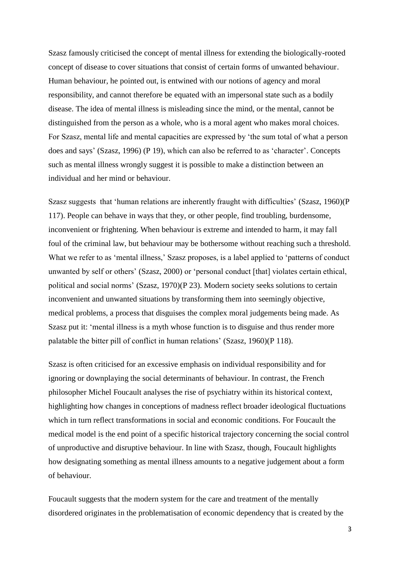Szasz famously criticised the concept of mental illness for extending the biologically-rooted concept of disease to cover situations that consist of certain forms of unwanted behaviour. Human behaviour, he pointed out, is entwined with our notions of agency and moral responsibility, and cannot therefore be equated with an impersonal state such as a bodily disease. The idea of mental illness is misleading since the mind, or the mental, cannot be distinguished from the person as a whole, who is a moral agent who makes moral choices. For Szasz, mental life and mental capacities are expressed by 'the sum total of what a person does and says' [\(Szasz, 1996\)](#page-24-2) (P 19), which can also be referred to as 'character'. Concepts such as mental illness wrongly suggest it is possible to make a distinction between an individual and her mind or behaviour.

Szasz suggests that 'human relations are inherently fraught with difficulties' [\(Szasz, 1960\)](#page-24-3)(P 117). People can behave in ways that they, or other people, find troubling, burdensome, inconvenient or frightening. When behaviour is extreme and intended to harm, it may fall foul of the criminal law, but behaviour may be bothersome without reaching such a threshold. What we refer to as 'mental illness,' Szasz proposes, is a label applied to 'patterns of conduct unwanted by self or others' [\(Szasz, 2000\)](#page-24-4) or 'personal conduct [that] violates certain ethical, political and social norms' [\(Szasz, 1970\)](#page-24-0)(P 23). Modern society seeks solutions to certain inconvenient and unwanted situations by transforming them into seemingly objective, medical problems, a process that disguises the complex moral judgements being made. As Szasz put it: 'mental illness is a myth whose function is to disguise and thus render more palatable the bitter pill of conflict in human relations' [\(Szasz, 1960\)](#page-24-3)(P 118).

Szasz is often criticised for an excessive emphasis on individual responsibility and for ignoring or downplaying the social determinants of behaviour. In contrast, the French philosopher Michel Foucault analyses the rise of psychiatry within its historical context, highlighting how changes in conceptions of madness reflect broader ideological fluctuations which in turn reflect transformations in social and economic conditions. For Foucault the medical model is the end point of a specific historical trajectory concerning the social control of unproductive and disruptive behaviour. In line with Szasz, though, Foucault highlights how designating something as mental illness amounts to a negative judgement about a form of behaviour.

Foucault suggests that the modern system for the care and treatment of the mentally disordered originates in the problematisation of economic dependency that is created by the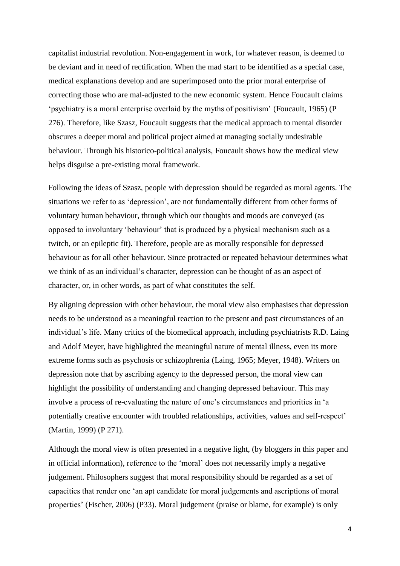capitalist industrial revolution. Non-engagement in work, for whatever reason, is deemed to be deviant and in need of rectification. When the mad start to be identified as a special case, medical explanations develop and are superimposed onto the prior moral enterprise of correcting those who are mal-adjusted to the new economic system. Hence Foucault claims 'psychiatry is a moral enterprise overlaid by the myths of positivism' [\(Foucault, 1965\)](#page-22-4) (P 276). Therefore, like Szasz, Foucault suggests that the medical approach to mental disorder obscures a deeper moral and political project aimed at managing socially undesirable behaviour. Through his historico-political analysis, Foucault shows how the medical view helps disguise a pre-existing moral framework.

Following the ideas of Szasz, people with depression should be regarded as moral agents. The situations we refer to as 'depression', are not fundamentally different from other forms of voluntary human behaviour, through which our thoughts and moods are conveyed (as opposed to involuntary 'behaviour' that is produced by a physical mechanism such as a twitch, or an epileptic fit). Therefore, people are as morally responsible for depressed behaviour as for all other behaviour. Since protracted or repeated behaviour determines what we think of as an individual's character, depression can be thought of as an aspect of character, or, in other words, as part of what constitutes the self.

By aligning depression with other behaviour, the moral view also emphasises that depression needs to be understood as a meaningful reaction to the present and past circumstances of an individual's life. Many critics of the biomedical approach, including psychiatrists R.D. Laing and Adolf Meyer, have highlighted the meaningful nature of mental illness, even its more extreme forms such as psychosis or schizophrenia [\(Laing, 1965;](#page-23-2) [Meyer, 1948\)](#page-23-3). Writers on depression note that by ascribing agency to the depressed person, the moral view can highlight the possibility of understanding and changing depressed behaviour. This may involve a process of re-evaluating the nature of one's circumstances and priorities in 'a potentially creative encounter with troubled relationships, activities, values and self-respect' [\(Martin, 1999\)](#page-23-4) (P 271).

Although the moral view is often presented in a negative light, (by bloggers in this paper and in official information), reference to the 'moral' does not necessarily imply a negative judgement. Philosophers suggest that moral responsibility should be regarded as a set of capacities that render one 'an apt candidate for moral judgements and ascriptions of moral properties' [\(Fischer, 2006\)](#page-22-5) (P33). Moral judgement (praise or blame, for example) is only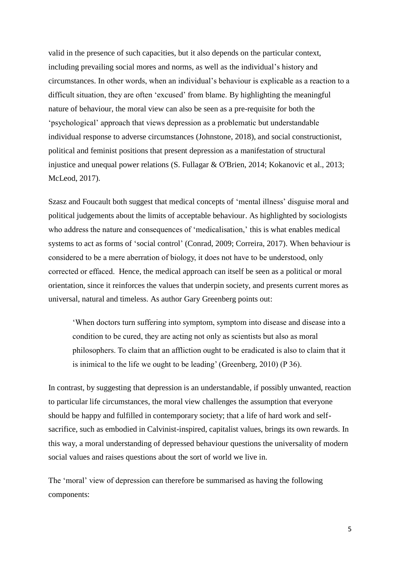valid in the presence of such capacities, but it also depends on the particular context, including prevailing social mores and norms, as well as the individual's history and circumstances. In other words, when an individual's behaviour is explicable as a reaction to a difficult situation, they are often 'excused' from blame. By highlighting the meaningful nature of behaviour, the moral view can also be seen as a pre-requisite for both the 'psychological' approach that views depression as a problematic but understandable individual response to adverse circumstances [\(Johnstone, 2018\)](#page-22-2), and social constructionist, political and feminist positions that present depression as a manifestation of structural injustice and unequal power relations [\(S. Fullagar & O'Brien, 2014;](#page-22-6) [Kokanovic et al., 2013;](#page-23-5) [McLeod, 2017\)](#page-23-6).

Szasz and Foucault both suggest that medical concepts of 'mental illness' disguise moral and political judgements about the limits of acceptable behaviour. As highlighted by sociologists who address the nature and consequences of 'medicalisation,' this is what enables medical systems to act as forms of 'social control' [\(Conrad, 2009;](#page-21-1) [Correira, 2017\)](#page-21-2). When behaviour is considered to be a mere aberration of biology, it does not have to be understood, only corrected or effaced. Hence, the medical approach can itself be seen as a political or moral orientation, since it reinforces the values that underpin society, and presents current mores as universal, natural and timeless. As author Gary Greenberg points out:

'When doctors turn suffering into symptom, symptom into disease and disease into a condition to be cured, they are acting not only as scientists but also as moral philosophers. To claim that an affliction ought to be eradicated is also to claim that it is inimical to the life we ought to be leading' [\(Greenberg, 2010\)](#page-22-7) (P 36).

In contrast, by suggesting that depression is an understandable, if possibly unwanted, reaction to particular life circumstances, the moral view challenges the assumption that everyone should be happy and fulfilled in contemporary society; that a life of hard work and selfsacrifice, such as embodied in Calvinist-inspired, capitalist values, brings its own rewards. In this way, a moral understanding of depressed behaviour questions the universality of modern social values and raises questions about the sort of world we live in.

The 'moral' view of depression can therefore be summarised as having the following components: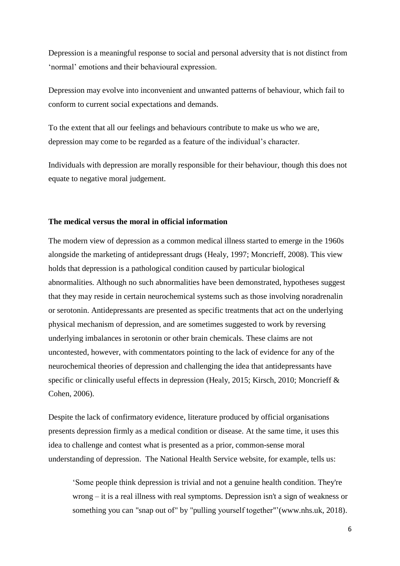Depression is a meaningful response to social and personal adversity that is not distinct from 'normal' emotions and their behavioural expression.

Depression may evolve into inconvenient and unwanted patterns of behaviour, which fail to conform to current social expectations and demands.

To the extent that all our feelings and behaviours contribute to make us who we are, depression may come to be regarded as a feature of the individual's character.

Individuals with depression are morally responsible for their behaviour, though this does not equate to negative moral judgement.

## **The medical versus the moral in official information**

The modern view of depression as a common medical illness started to emerge in the 1960s alongside the marketing of antidepressant drugs [\(Healy, 1997;](#page-22-8) [Moncrieff, 2008\)](#page-23-7). This view holds that depression is a pathological condition caused by particular biological abnormalities. Although no such abnormalities have been demonstrated, hypotheses suggest that they may reside in certain neurochemical systems such as those involving noradrenalin or serotonin. Antidepressants are presented as specific treatments that act on the underlying physical mechanism of depression, and are sometimes suggested to work by reversing underlying imbalances in serotonin or other brain chemicals. These claims are not uncontested, however, with commentators pointing to the lack of evidence for any of the neurochemical theories of depression and challenging the idea that antidepressants have specific or clinically useful effects in depression [\(Healy, 2015;](#page-22-9) [Kirsch, 2010;](#page-22-10) [Moncrieff &](#page-23-8)  [Cohen, 2006\)](#page-23-8).

Despite the lack of confirmatory evidence, literature produced by official organisations presents depression firmly as a medical condition or disease. At the same time, it uses this idea to challenge and contest what is presented as a prior, common-sense moral understanding of depression. The National Health Service website, for example, tells us:

'Some people think depression is trivial and not a genuine health condition. They're wrong – it is a real illness with real symptoms. Depression isn't a sign of weakness or something you can "snap out of" by "pulling yourself together"'[\(www.nhs.uk, 2018\)](#page-24-5).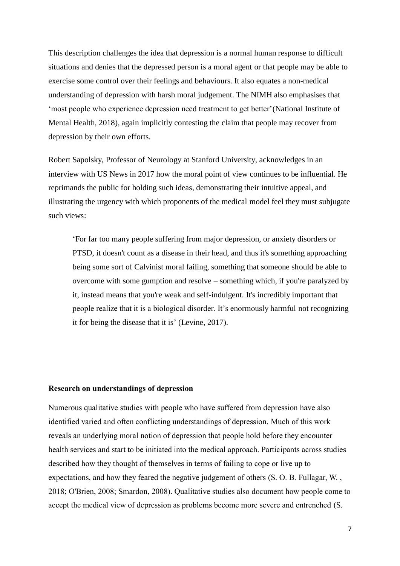This description challenges the idea that depression is a normal human response to difficult situations and denies that the depressed person is a moral agent or that people may be able to exercise some control over their feelings and behaviours. It also equates a non-medical understanding of depression with harsh moral judgement. The NIMH also emphasises that 'most people who experience depression need treatment to get better'[\(National Institute of](#page-23-9)  [Mental Health, 2018\)](#page-23-9), again implicitly contesting the claim that people may recover from depression by their own efforts.

Robert Sapolsky, Professor of Neurology at Stanford University, acknowledges in an interview with US News in 2017 how the moral point of view continues to be influential. He reprimands the public for holding such ideas, demonstrating their intuitive appeal, and illustrating the urgency with which proponents of the medical model feel they must subjugate such views:

'For far too many people suffering from major depression, or anxiety disorders or [PTSD,](https://health.usnews.com/health-care/patient-advice/articles/2017-08-22/could-wilderness-help-vets-with-ptsd) it doesn't count as a disease in their head, and thus it's something approaching being some sort of Calvinist moral failing, something that someone should be able to overcome with some gumption and resolve – something which, if you're paralyzed by it, instead means that you're weak and self-indulgent. It's incredibly important that people realize that it is a biological disorder. It's enormously harmful not recognizing it for being the disease that it is' [\(Levine, 2017\)](#page-23-10).

# **Research on understandings of depression**

Numerous qualitative studies with people who have suffered from depression have also identified varied and often conflicting understandings of depression. Much of this work reveals an underlying moral notion of depression that people hold before they encounter health services and start to be initiated into the medical approach. Participants across studies described how they thought of themselves in terms of failing to cope or live up to expectations, and how they feared the negative judgement of others [\(S. O. B. Fullagar, W. ,](#page-22-11)  [2018;](#page-22-11) [O'Brien, 2008;](#page-23-11) [Smardon, 2008\)](#page-24-6). Qualitative studies also document how people come to accept the medical view of depression as problems become more severe and entrenched [\(S.](#page-22-12)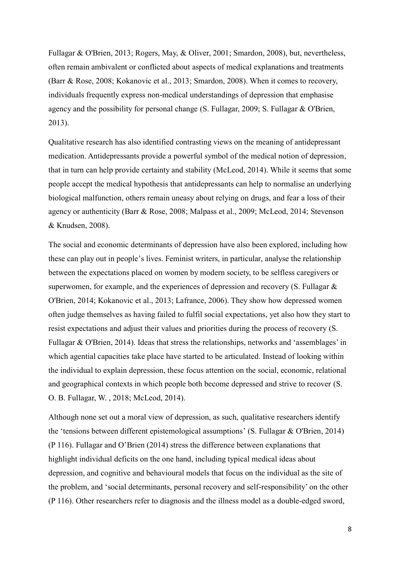[Fullagar & O'Brien, 2013;](#page-22-12) [Rogers, May, & Oliver, 2001;](#page-23-12) [Smardon, 2008\)](#page-24-6), but, nevertheless, often remain ambivalent or conflicted about aspects of medical explanations and treatments [\(Barr & Rose, 2008;](#page-21-3) [Kokanovic et al., 2013;](#page-23-5) [Smardon, 2008\)](#page-24-6). When it comes to recovery, individuals frequently express non-medical understandings of depression that emphasise agency and the possibility for personal change [\(S. Fullagar, 2009;](#page-22-13) [S. Fullagar & O'Brien,](#page-22-12)  [2013\)](#page-22-12).

Qualitative research has also identified contrasting views on the meaning of antidepressant medication. Antidepressants provide a powerful symbol of the medical notion of depression, that in turn can help provide certainty and stability [\(McLeod, 2014\)](#page-23-13). While it seems that some people accept the medical hypothesis that antidepressants can help to normalise an underlying biological malfunction, others remain uneasy about relying on drugs, and fear a loss of their agency or authenticity [\(Barr & Rose, 2008;](#page-21-3) [Malpass et al., 2009;](#page-23-14) [McLeod, 2014;](#page-23-13) [Stevenson](#page-24-7)  [& Knudsen, 2008\)](#page-24-7).

The social and economic determinants of depression have also been explored, including how these can play out in people's lives. Feminist writers, in particular, analyse the relationship between the expectations placed on women by modern society, to be selfless caregivers or superwomen, for example, and the experiences of depression and recovery [\(S. Fullagar &](#page-22-6)  [O'Brien, 2014;](#page-22-6) [Kokanovic et al., 2013;](#page-23-5) [Lafrance, 2006\)](#page-23-15). They show how depressed women often judge themselves as having failed to fulfil social expectations, yet also how they start to resist expectations and adjust their values and priorities during the process of recovery [\(S.](#page-22-6)  [Fullagar & O'Brien, 2014\)](#page-22-6). Ideas that stress the relationships, networks and 'assemblages' in which agential capacities take place have started to be articulated. Instead of looking within the individual to explain depression, these focus attention on the social, economic, relational and geographical contexts in which people both become depressed and strive to recover [\(S.](#page-22-11)  [O. B. Fullagar, W. , 2018;](#page-22-11) [McLeod, 2014\)](#page-23-13).

Although none set out a moral view of depression, as such, qualitative researchers identify the 'tensions between different epistemological assumptions' [\(S. Fullagar & O'Brien, 2014\)](#page-22-6) (P 116). Fullagar and O'Brien (2014) stress the difference between explanations that highlight individual deficits on the one hand, including typical medical ideas about depression, and cognitive and behavioural models that focus on the individual as the site of the problem, and 'social determinants, personal recovery and self-responsibility' on the other (P 116). Other researchers refer to diagnosis and the illness model as a double-edged sword,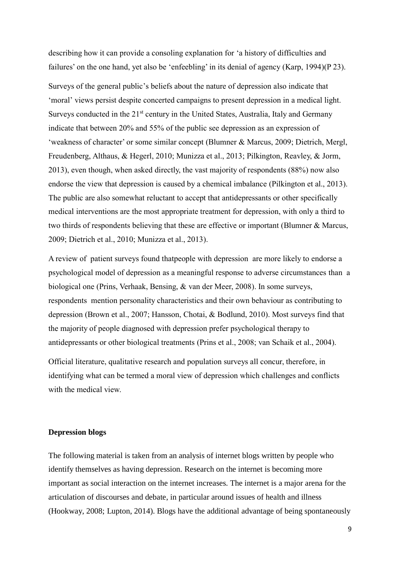describing how it can provide a consoling explanation for 'a history of difficulties and failures' on the one hand, yet also be 'enfeebling' in its denial of agency [\(Karp, 1994\)](#page-22-14)(P 23).

Surveys of the general public's beliefs about the nature of depression also indicate that 'moral' views persist despite concerted campaigns to present depression in a medical light. Surveys conducted in the 21<sup>st</sup> century in the United States, Australia, Italy and Germany indicate that between 20% and 55% of the public see depression as an expression of 'weakness of character' or some similar concept [\(Blumner & Marcus, 2009;](#page-21-4) [Dietrich, Mergl,](#page-22-15)  [Freudenberg, Althaus, & Hegerl, 2010;](#page-22-15) [Munizza et al., 2013;](#page-23-16) [Pilkington, Reavley, & Jorm,](#page-23-17)  [2013\)](#page-23-17), even though, when asked directly, the vast majority of respondents (88%) now also endorse the view that depression is caused by a chemical imbalance [\(Pilkington et al., 2013\)](#page-23-17). The public are also somewhat reluctant to accept that antidepressants or other specifically medical interventions are the most appropriate treatment for depression, with only a third to two thirds of respondents believing that these are effective or important [\(Blumner & Marcus,](#page-21-4)  [2009;](#page-21-4) [Dietrich et al., 2010;](#page-22-15) [Munizza et al., 2013\)](#page-23-16).

A review of patient surveys found thatpeople with depression are more likely to endorse a psychological model of depression as a meaningful response to adverse circumstances than a biological one [\(Prins, Verhaak, Bensing, & van der Meer, 2008\)](#page-23-18). In some surveys, respondents mention personality characteristics and their own behaviour as contributing to depression [\(Brown et al., 2007;](#page-21-5) [Hansson, Chotai, & Bodlund, 2010\)](#page-22-16). Most surveys find that the majority of people diagnosed with depression prefer psychological therapy to antidepressants or other biological treatments [\(Prins et al., 2008;](#page-23-18) [van Schaik et al., 2004\)](#page-24-8).

Official literature, qualitative research and population surveys all concur, therefore, in identifying what can be termed a moral view of depression which challenges and conflicts with the medical view.

# **Depression blogs**

The following material is taken from an analysis of internet blogs written by people who identify themselves as having depression. Research on the internet is becoming more important as social interaction on the internet increases. The internet is a major arena for the articulation of discourses and debate, in particular around issues of health and illness [\(Hookway, 2008;](#page-22-17) [Lupton, 2014\)](#page-23-19). Blogs have the additional advantage of being spontaneously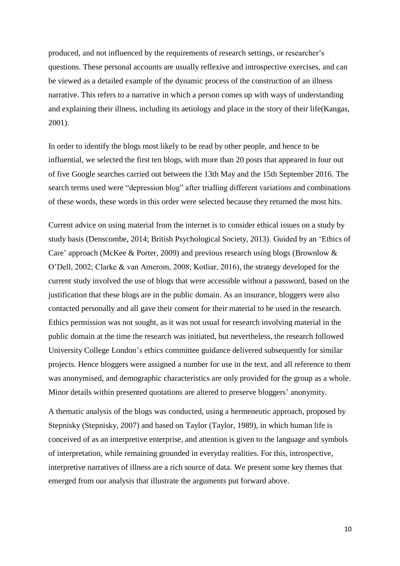produced, and not influenced by the requirements of research settings, or researcher's questions. These personal accounts are usually reflexive and introspective exercises, and can be viewed as a detailed example of the dynamic process of the construction of an illness narrative. This refers to a narrative in which a person comes up with ways of understanding and explaining their illness, including its aetiology and place in the story of their life[\(Kangas,](#page-22-18)  [2001\)](#page-22-18).

In order to identify the blogs most likely to be read by other people, and hence to be influential, we selected the first ten blogs, with more than 20 posts that appeared in four out of five Google searches carried out between the 13th May and the 15th September 2016. The search terms used were "depression blog" after trialling different variations and combinations of these words, these words in this order were selected because they returned the most hits.

Current advice on using material from the internet is to consider ethical issues on a study by study basis (Denscombe, 2014; British Psychological Society, 2013). Guided by an 'Ethics of Care' approach (McKee & Porter, 2009) and previous research using blogs (Brownlow & O'Dell, 2002; Clarke & van Amerom, 2008; Kotliar, 2016), the strategy developed for the current study involved the use of blogs that were accessible without a password, based on the justification that these blogs are in the public domain. As an insurance, bloggers were also contacted personally and all gave their consent for their material to be used in the research. Ethics permission was not sought, as it was not usual for research involving material in the public domain at the time the research was initiated, but nevertheless, the research followed University College London's ethics committee guidance delivered subsequently for similar projects. Hence bloggers were assigned a number for use in the text, and all reference to them was anonymised, and demographic characteristics are only provided for the group as a whole. Minor details within presented quotations are altered to preserve bloggers' anonymity.

A thematic analysis of the blogs was conducted, using a hermeneutic approach, proposed by Stepnisky [\(Stepnisky, 2007\)](#page-24-9) and based on Taylor [\(Taylor, 1989\)](#page-24-10), in which human life is conceived of as an interpretive enterprise, and attention is given to the language and symbols of interpretation, while remaining grounded in everyday realities. For this, introspective, interpretive narratives of illness are a rich source of data. We present some key themes that emerged from our analysis that illustrate the arguments put forward above.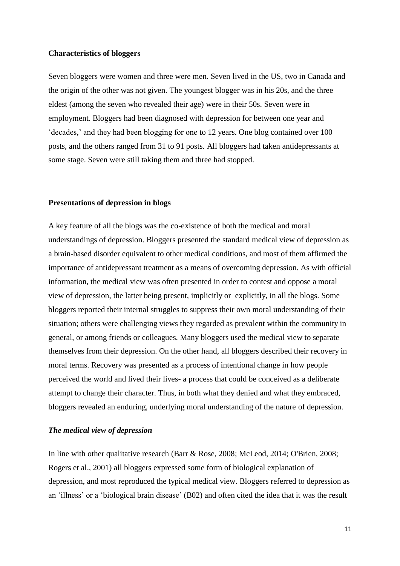# **Characteristics of bloggers**

Seven bloggers were women and three were men. Seven lived in the US, two in Canada and the origin of the other was not given. The youngest blogger was in his 20s, and the three eldest (among the seven who revealed their age) were in their 50s. Seven were in employment. Bloggers had been diagnosed with depression for between one year and 'decades,' and they had been blogging for one to 12 years. One blog contained over 100 posts, and the others ranged from 31 to 91 posts. All bloggers had taken antidepressants at some stage. Seven were still taking them and three had stopped.

## **Presentations of depression in blogs**

A key feature of all the blogs was the co-existence of both the medical and moral understandings of depression. Bloggers presented the standard medical view of depression as a brain-based disorder equivalent to other medical conditions, and most of them affirmed the importance of antidepressant treatment as a means of overcoming depression. As with official information, the medical view was often presented in order to contest and oppose a moral view of depression, the latter being present, implicitly or explicitly, in all the blogs. Some bloggers reported their internal struggles to suppress their own moral understanding of their situation; others were challenging views they regarded as prevalent within the community in general, or among friends or colleagues. Many bloggers used the medical view to separate themselves from their depression. On the other hand, all bloggers described their recovery in moral terms. Recovery was presented as a process of intentional change in how people perceived the world and lived their lives- a process that could be conceived as a deliberate attempt to change their character. Thus, in both what they denied and what they embraced, bloggers revealed an enduring, underlying moral understanding of the nature of depression.

### *The medical view of depression*

In line with other qualitative research [\(Barr & Rose, 2008;](#page-21-3) [McLeod, 2014;](#page-23-13) [O'Brien, 2008;](#page-23-11) [Rogers et al., 2001\)](#page-23-12) all bloggers expressed some form of biological explanation of depression, and most reproduced the typical medical view. Bloggers referred to depression as an 'illness' or a 'biological brain disease' (B02) and often cited the idea that it was the result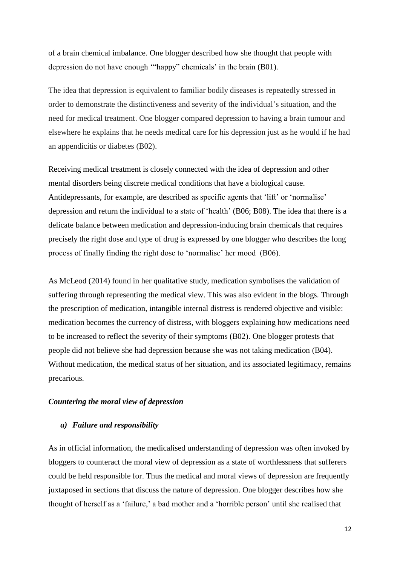of a brain chemical imbalance. One blogger described how she thought that people with depression do not have enough '"happy" chemicals' in the brain (B01).

The idea that depression is equivalent to familiar bodily diseases is repeatedly stressed in order to demonstrate the distinctiveness and severity of the individual's situation, and the need for medical treatment. One blogger compared depression to having a brain tumour and elsewhere he explains that he needs medical care for his depression just as he would if he had an appendicitis or diabetes (B02).

Receiving medical treatment is closely connected with the idea of depression and other mental disorders being discrete medical conditions that have a biological cause. Antidepressants, for example, are described as specific agents that 'lift' or 'normalise' depression and return the individual to a state of 'health' (B06; B08). The idea that there is a delicate balance between medication and depression-inducing brain chemicals that requires precisely the right dose and type of drug is expressed by one blogger who describes the long process of finally finding the right dose to 'normalise' her mood (B06).

As McLeod (2014) found in her qualitative study, medication symbolises the validation of suffering through representing the medical view. This was also evident in the blogs. Through the prescription of medication, intangible internal distress is rendered objective and visible: medication becomes the currency of distress, with bloggers explaining how medications need to be increased to reflect the severity of their symptoms (B02). One blogger protests that people did not believe she had depression because she was not taking medication (B04). Without medication, the medical status of her situation, and its associated legitimacy, remains precarious.

# *Countering the moral view of depression*

### *a) Failure and responsibility*

As in official information, the medicalised understanding of depression was often invoked by bloggers to counteract the moral view of depression as a state of worthlessness that sufferers could be held responsible for. Thus the medical and moral views of depression are frequently juxtaposed in sections that discuss the nature of depression. One blogger describes how she thought of herself as a 'failure,' a bad mother and a 'horrible person' until she realised that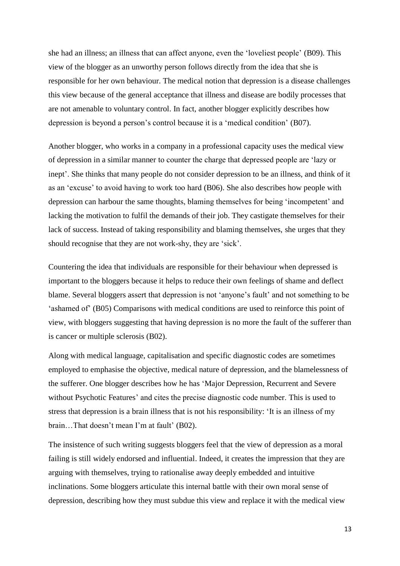she had an illness; an illness that can affect anyone, even the 'loveliest people' (B09). This view of the blogger as an unworthy person follows directly from the idea that she is responsible for her own behaviour. The medical notion that depression is a disease challenges this view because of the general acceptance that illness and disease are bodily processes that are not amenable to voluntary control. In fact, another blogger explicitly describes how depression is beyond a person's control because it is a 'medical condition' (B07).

Another blogger, who works in a company in a professional capacity uses the medical view of depression in a similar manner to counter the charge that depressed people are 'lazy or inept'. She thinks that many people do not consider depression to be an illness, and think of it as an 'excuse' to avoid having to work too hard (B06). She also describes how people with depression can harbour the same thoughts, blaming themselves for being 'incompetent' and lacking the motivation to fulfil the demands of their job. They castigate themselves for their lack of success. Instead of taking responsibility and blaming themselves, she urges that they should recognise that they are not work-shy, they are 'sick'.

Countering the idea that individuals are responsible for their behaviour when depressed is important to the bloggers because it helps to reduce their own feelings of shame and deflect blame. Several bloggers assert that depression is not 'anyone's fault' and not something to be 'ashamed of' (B05) Comparisons with medical conditions are used to reinforce this point of view, with bloggers suggesting that having depression is no more the fault of the sufferer than is cancer or multiple sclerosis (B02).

Along with medical language, capitalisation and specific diagnostic codes are sometimes employed to emphasise the objective, medical nature of depression, and the blamelessness of the sufferer. One blogger describes how he has 'Major Depression, Recurrent and Severe without Psychotic Features' and cites the precise diagnostic code number. This is used to stress that depression is a brain illness that is not his responsibility: 'It is an illness of my brain…That doesn't mean I'm at fault' (B02).

The insistence of such writing suggests bloggers feel that the view of depression as a moral failing is still widely endorsed and influential. Indeed, it creates the impression that they are arguing with themselves, trying to rationalise away deeply embedded and intuitive inclinations. Some bloggers articulate this internal battle with their own moral sense of depression, describing how they must subdue this view and replace it with the medical view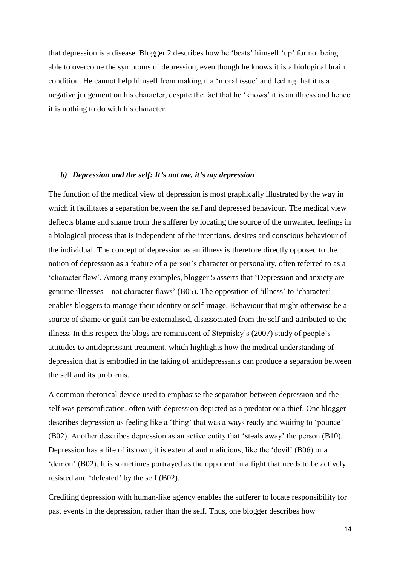that depression is a disease. Blogger 2 describes how he 'beats' himself 'up' for not being able to overcome the symptoms of depression, even though he knows it is a biological brain condition. He cannot help himself from making it a 'moral issue' and feeling that it is a negative judgement on his character, despite the fact that he 'knows' it is an illness and hence it is nothing to do with his character.

# *b) Depression and the self: It's not me, it's my depression*

The function of the medical view of depression is most graphically illustrated by the way in which it facilitates a separation between the self and depressed behaviour. The medical view deflects blame and shame from the sufferer by locating the source of the unwanted feelings in a biological process that is independent of the intentions, desires and conscious behaviour of the individual. The concept of depression as an illness is therefore directly opposed to the notion of depression as a feature of a person's character or personality, often referred to as a 'character flaw'. Among many examples, blogger 5 asserts that 'Depression and anxiety are genuine illnesses – not character flaws' (B05). The opposition of 'illness' to 'character' enables bloggers to manage their identity or self-image. Behaviour that might otherwise be a source of shame or guilt can be externalised, disassociated from the self and attributed to the illness. In this respect the blogs are reminiscent of Stepnisky's (2007) study of people's attitudes to antidepressant treatment, which highlights how the medical understanding of depression that is embodied in the taking of antidepressants can produce a separation between the self and its problems.

A common rhetorical device used to emphasise the separation between depression and the self was personification, often with depression depicted as a predator or a thief. One blogger describes depression as feeling like a 'thing' that was always ready and waiting to 'pounce' (B02). Another describes depression as an active entity that 'steals away' the person (B10). Depression has a life of its own, it is external and malicious, like the 'devil' (B06) or a 'demon' (B02). It is sometimes portrayed as the opponent in a fight that needs to be actively resisted and 'defeated' by the self (B02).

Crediting depression with human-like agency enables the sufferer to locate responsibility for past events in the depression, rather than the self. Thus, one blogger describes how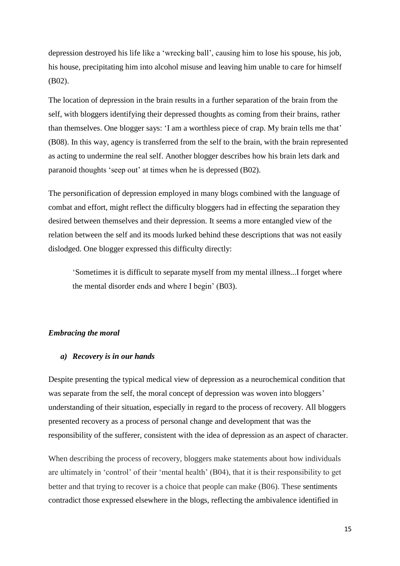depression destroyed his life like a 'wrecking ball', causing him to lose his spouse, his job, his house, precipitating him into alcohol misuse and leaving him unable to care for himself (B02).

The location of depression in the brain results in a further separation of the brain from the self, with bloggers identifying their depressed thoughts as coming from their brains, rather than themselves. One blogger says: 'I am a worthless piece of crap. My brain tells me that' (B08). In this way, agency is transferred from the self to the brain, with the brain represented as acting to undermine the real self. Another blogger describes how his brain lets dark and paranoid thoughts 'seep out' at times when he is depressed (B02).

The personification of depression employed in many blogs combined with the language of combat and effort, might reflect the difficulty bloggers had in effecting the separation they desired between themselves and their depression. It seems a more entangled view of the relation between the self and its moods lurked behind these descriptions that was not easily dislodged. One blogger expressed this difficulty directly:

'Sometimes it is difficult to separate myself from my mental illness...I forget where the mental disorder ends and where I begin' (B03).

# *Embracing the moral*

### *a) Recovery is in our hands*

Despite presenting the typical medical view of depression as a neurochemical condition that was separate from the self, the moral concept of depression was woven into bloggers' understanding of their situation, especially in regard to the process of recovery. All bloggers presented recovery as a process of personal change and development that was the responsibility of the sufferer, consistent with the idea of depression as an aspect of character.

When describing the process of recovery, bloggers make statements about how individuals are ultimately in 'control' of their 'mental health' (B04), that it is their responsibility to get better and that trying to recover is a choice that people can make (B06). These sentiments contradict those expressed elsewhere in the blogs, reflecting the ambivalence identified in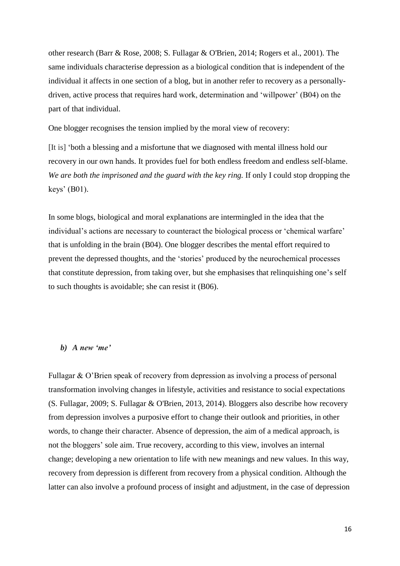other research [\(Barr & Rose, 2008;](#page-21-3) [S. Fullagar & O'Brien, 2014;](#page-22-6) [Rogers et al., 2001\)](#page-23-12). The same individuals characterise depression as a biological condition that is independent of the individual it affects in one section of a blog, but in another refer to recovery as a personallydriven, active process that requires hard work, determination and 'willpower' (B04) on the part of that individual.

One blogger recognises the tension implied by the moral view of recovery:

[It is] 'both a blessing and a misfortune that we diagnosed with mental illness hold our recovery in our own hands. It provides fuel for both endless freedom and endless self-blame. *We are both the imprisoned and the guard with the key ring.* If only I could stop dropping the keys' (B01).

In some blogs, biological and moral explanations are intermingled in the idea that the individual's actions are necessary to counteract the biological process or 'chemical warfare' that is unfolding in the brain (B04). One blogger describes the mental effort required to prevent the depressed thoughts, and the 'stories' produced by the neurochemical processes that constitute depression, from taking over, but she emphasises that relinquishing one's self to such thoughts is avoidable; she can resist it (B06).

### *b) A new 'me'*

Fullagar & O'Brien speak of recovery from depression as involving a process of personal transformation involving changes in lifestyle, activities and resistance to social expectations [\(S. Fullagar, 2009;](#page-22-13) [S. Fullagar & O'Brien, 2013,](#page-22-12) [2014\)](#page-22-6). Bloggers also describe how recovery from depression involves a purposive effort to change their outlook and priorities, in other words, to change their character. Absence of depression, the aim of a medical approach, is not the bloggers' sole aim. True recovery, according to this view, involves an internal change; developing a new orientation to life with new meanings and new values. In this way, recovery from depression is different from recovery from a physical condition. Although the latter can also involve a profound process of insight and adjustment, in the case of depression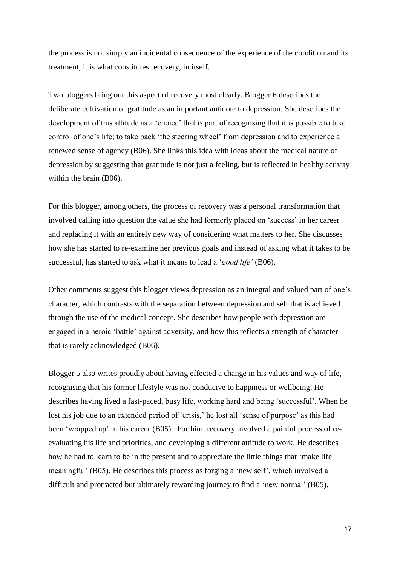the process is not simply an incidental consequence of the experience of the condition and its treatment, it is what constitutes recovery, in itself.

Two bloggers bring out this aspect of recovery most clearly. Blogger 6 describes the deliberate cultivation of gratitude as an important antidote to depression. She describes the development of this attitude as a 'choice' that is part of recognising that it is possible to take control of one's life; to take back 'the steering wheel' from depression and to experience a renewed sense of agency (B06). She links this idea with ideas about the medical nature of depression by suggesting that gratitude is not just a feeling, but is reflected in healthy activity within the brain (B06).

For this blogger, among others, the process of recovery was a personal transformation that involved calling into question the value she had formerly placed on 'success' in her career and replacing it with an entirely new way of considering what matters to her. She discusses how she has started to re-examine her previous goals and instead of asking what it takes to be successful, has started to ask what it means to lead a '*good life'* (B06).

Other comments suggest this blogger views depression as an integral and valued part of one's character, which contrasts with the separation between depression and self that is achieved through the use of the medical concept. She describes how people with depression are engaged in a heroic 'battle' against adversity, and how this reflects a strength of character that is rarely acknowledged (B06).

Blogger 5 also writes proudly about having effected a change in his values and way of life, recognising that his former lifestyle was not conducive to happiness or wellbeing. He describes having lived a fast-paced, busy life, working hard and being 'successful'. When he lost his job due to an extended period of 'crisis,' he lost all 'sense of purpose' as this had been 'wrapped up' in his career (B05). For him, recovery involved a painful process of reevaluating his life and priorities, and developing a different attitude to work. He describes how he had to learn to be in the present and to appreciate the little things that 'make life meaningful' (B05). He describes this process as forging a 'new self', which involved a difficult and protracted but ultimately rewarding journey to find a 'new normal' (B05).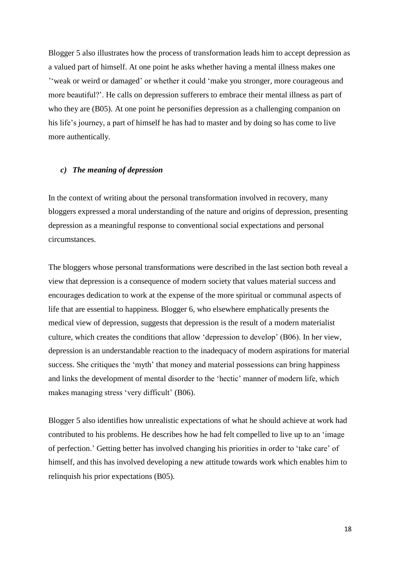Blogger 5 also illustrates how the process of transformation leads him to accept depression as a valued part of himself. At one point he asks whether having a mental illness makes one ''weak or weird or damaged' or whether it could 'make you stronger, more courageous and more beautiful?'. He calls on depression sufferers to embrace their mental illness as part of who they are (B05). At one point he personifies depression as a challenging companion on his life's journey, a part of himself he has had to master and by doing so has come to live more authentically.

# *c) The meaning of depression*

In the context of writing about the personal transformation involved in recovery, many bloggers expressed a moral understanding of the nature and origins of depression, presenting depression as a meaningful response to conventional social expectations and personal circumstances.

The bloggers whose personal transformations were described in the last section both reveal a view that depression is a consequence of modern society that values material success and encourages dedication to work at the expense of the more spiritual or communal aspects of life that are essential to happiness. Blogger 6, who elsewhere emphatically presents the medical view of depression, suggests that depression is the result of a modern materialist culture, which creates the conditions that allow 'depression to develop' (B06). In her view, depression is an understandable reaction to the inadequacy of modern aspirations for material success. She critiques the 'myth' that money and material possessions can bring happiness and links the development of mental disorder to the 'hectic' manner of modern life, which makes managing stress 'very difficult' (B06).

Blogger 5 also identifies how unrealistic expectations of what he should achieve at work had contributed to his problems. He describes how he had felt compelled to live up to an 'image of perfection.' Getting better has involved changing his priorities in order to 'take care' of himself, and this has involved developing a new attitude towards work which enables him to relinquish his prior expectations (B05).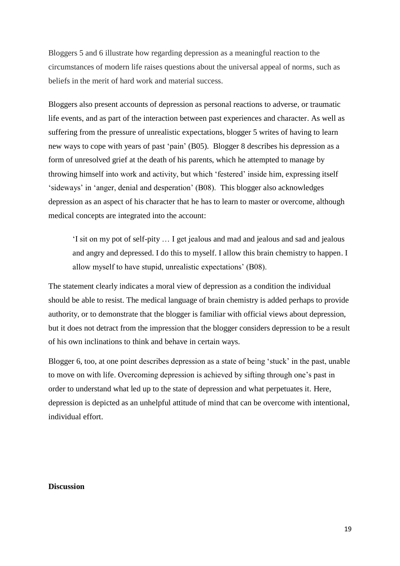Bloggers 5 and 6 illustrate how regarding depression as a meaningful reaction to the circumstances of modern life raises questions about the universal appeal of norms, such as beliefs in the merit of hard work and material success.

Bloggers also present accounts of depression as personal reactions to adverse, or traumatic life events, and as part of the interaction between past experiences and character. As well as suffering from the pressure of unrealistic expectations, blogger 5 writes of having to learn new ways to cope with years of past 'pain' (B05). Blogger 8 describes his depression as a form of unresolved grief at the death of his parents, which he attempted to manage by throwing himself into work and activity, but which 'festered' inside him, expressing itself 'sideways' in 'anger, denial and desperation' (B08). This blogger also acknowledges depression as an aspect of his character that he has to learn to master or overcome, although medical concepts are integrated into the account:

'I sit on my pot of self-pity … I get jealous and mad and jealous and sad and jealous and angry and depressed. I do this to myself. I allow this brain chemistry to happen. I allow myself to have stupid, unrealistic expectations' (B08).

The statement clearly indicates a moral view of depression as a condition the individual should be able to resist. The medical language of brain chemistry is added perhaps to provide authority, or to demonstrate that the blogger is familiar with official views about depression, but it does not detract from the impression that the blogger considers depression to be a result of his own inclinations to think and behave in certain ways.

Blogger 6, too, at one point describes depression as a state of being 'stuck' in the past, unable to move on with life. Overcoming depression is achieved by sifting through one's past in order to understand what led up to the state of depression and what perpetuates it. Here, depression is depicted as an unhelpful attitude of mind that can be overcome with intentional, individual effort.

# **Discussion**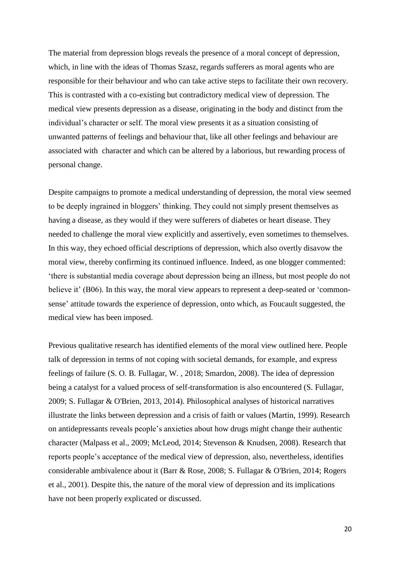The material from depression blogs reveals the presence of a moral concept of depression, which, in line with the ideas of Thomas Szasz, regards sufferers as moral agents who are responsible for their behaviour and who can take active steps to facilitate their own recovery. This is contrasted with a co-existing but contradictory medical view of depression. The medical view presents depression as a disease, originating in the body and distinct from the individual's character or self. The moral view presents it as a situation consisting of unwanted patterns of feelings and behaviour that, like all other feelings and behaviour are associated with character and which can be altered by a laborious, but rewarding process of personal change.

Despite campaigns to promote a medical understanding of depression, the moral view seemed to be deeply ingrained in bloggers' thinking. They could not simply present themselves as having a disease, as they would if they were sufferers of diabetes or heart disease. They needed to challenge the moral view explicitly and assertively, even sometimes to themselves. In this way, they echoed official descriptions of depression, which also overtly disavow the moral view, thereby confirming its continued influence. Indeed, as one blogger commented: 'there is substantial media coverage about depression being an illness, but most people do not believe it' (B06). In this way, the moral view appears to represent a deep-seated or 'commonsense' attitude towards the experience of depression, onto which, as Foucault suggested, the medical view has been imposed.

Previous qualitative research has identified elements of the moral view outlined here. People talk of depression in terms of not coping with societal demands, for example, and express feelings of failure [\(S. O. B. Fullagar, W. ,](#page-22-11) 2018; [Smardon, 2008\)](#page-24-6). The idea of depression being a catalyst for a valued process of self-transformation is also encountered [\(S. Fullagar,](#page-22-13)  [2009;](#page-22-13) [S. Fullagar & O'Brien, 2013,](#page-22-12) [2014\)](#page-22-6). Philosophical analyses of historical narratives illustrate the links between depression and a crisis of faith or values [\(Martin, 1999\)](#page-23-4). Research on antidepressants reveals people's anxieties about how drugs might change their authentic character [\(Malpass et al., 2009;](#page-23-14) [McLeod, 2014;](#page-23-13) [Stevenson & Knudsen, 2008\)](#page-24-7). Research that reports people's acceptance of the medical view of depression, also, nevertheless, identifies considerable ambivalence about it [\(Barr & Rose, 2008;](#page-21-3) [S. Fullagar & O'Brien, 2014;](#page-22-6) [Rogers](#page-23-12)  [et al., 2001\)](#page-23-12). Despite this, the nature of the moral view of depression and its implications have not been properly explicated or discussed.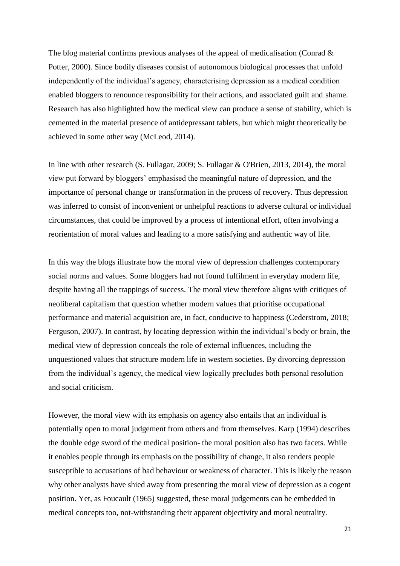The blog material confirms previous analyses of the appeal of medicalisation [\(Conrad &](#page-21-6)  [Potter, 2000\)](#page-21-6). Since bodily diseases consist of autonomous biological processes that unfold independently of the individual's agency, characterising depression as a medical condition enabled bloggers to renounce responsibility for their actions, and associated guilt and shame. Research has also highlighted how the medical view can produce a sense of stability, which is cemented in the material presence of antidepressant tablets, but which might theoretically be achieved in some other way [\(McLeod, 2014\)](#page-23-13).

In line with other research [\(S. Fullagar, 2009;](#page-22-13) [S. Fullagar & O'Brien, 2013,](#page-22-12) [2014\)](#page-22-6), the moral view put forward by bloggers' emphasised the meaningful nature of depression, and the importance of personal change or transformation in the process of recovery. Thus depression was inferred to consist of inconvenient or unhelpful reactions to adverse cultural or individual circumstances, that could be improved by a process of intentional effort, often involving a reorientation of moral values and leading to a more satisfying and authentic way of life.

In this way the blogs illustrate how the moral view of depression challenges contemporary social norms and values. Some bloggers had not found fulfilment in everyday modern life, despite having all the trappings of success. The moral view therefore aligns with critiques of neoliberal capitalism that question whether modern values that prioritise occupational performance and material acquisition are, in fact, conducive to happiness [\(Cederstrom, 2018;](#page-21-7) [Ferguson, 2007\)](#page-22-19). In contrast, by locating depression within the individual's body or brain, the medical view of depression conceals the role of external influences, including the unquestioned values that structure modern life in western societies. By divorcing depression from the individual's agency, the medical view logically precludes both personal resolution and social criticism.

However, the moral view with its emphasis on agency also entails that an individual is potentially open to moral judgement from others and from themselves. Karp (1994) describes the double edge sword of the medical position- the moral position also has two facets. While it enables people through its emphasis on the possibility of change, it also renders people susceptible to accusations of bad behaviour or weakness of character. This is likely the reason why other analysts have shied away from presenting the moral view of depression as a cogent position. Yet, as Foucault (1965) suggested, these moral judgements can be embedded in medical concepts too, not-withstanding their apparent objectivity and moral neutrality.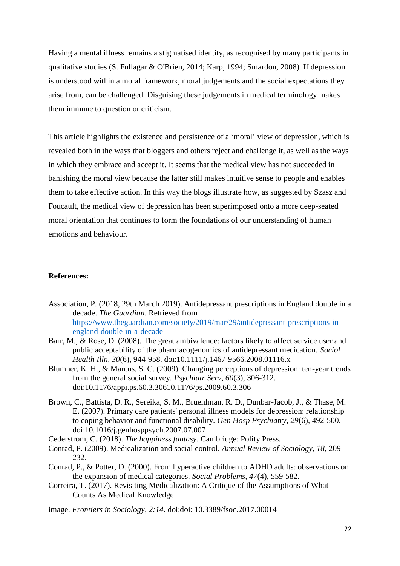Having a mental illness remains a stigmatised identity, as recognised by many participants in qualitative studies [\(S. Fullagar & O'Brien, 2014;](#page-22-6) [Karp, 1994;](#page-22-14) [Smardon, 2008\)](#page-24-6). If depression is understood within a moral framework, moral judgements and the social expectations they arise from, can be challenged. Disguising these judgements in medical terminology makes them immune to question or criticism.

This article highlights the existence and persistence of a 'moral' view of depression, which is revealed both in the ways that bloggers and others reject and challenge it, as well as the ways in which they embrace and accept it. It seems that the medical view has not succeeded in banishing the moral view because the latter still makes intuitive sense to people and enables them to take effective action. In this way the blogs illustrate how, as suggested by Szasz and Foucault, the medical view of depression has been superimposed onto a more deep-seated moral orientation that continues to form the foundations of our understanding of human emotions and behaviour.

# **References:**

- <span id="page-21-0"></span>Association, P. (2018, 29th March 2019). Antidepressant prescriptions in England double in a decade. *The Guardian*. Retrieved from [https://www.theguardian.com/society/2019/mar/29/antidepressant-prescriptions-in](https://www.theguardian.com/society/2019/mar/29/antidepressant-prescriptions-in-england-double-in-a-decade)[england-double-in-a-decade](https://www.theguardian.com/society/2019/mar/29/antidepressant-prescriptions-in-england-double-in-a-decade)
- <span id="page-21-3"></span>Barr, M., & Rose, D. (2008). The great ambivalence: factors likely to affect service user and public acceptability of the pharmacogenomics of antidepressant medication. *Sociol Health Illn, 30*(6), 944-958. doi:10.1111/j.1467-9566.2008.01116.x
- <span id="page-21-4"></span>Blumner, K. H., & Marcus, S. C. (2009). Changing perceptions of depression: ten-year trends from the general social survey. *Psychiatr Serv, 60*(3), 306-312. doi:10.1176/appi.ps.60.3.30610.1176/ps.2009.60.3.306
- <span id="page-21-5"></span>Brown, C., Battista, D. R., Sereika, S. M., Bruehlman, R. D., Dunbar-Jacob, J., & Thase, M. E. (2007). Primary care patients' personal illness models for depression: relationship to coping behavior and functional disability. *Gen Hosp Psychiatry, 29*(6), 492-500. doi:10.1016/j.genhosppsych.2007.07.007
- <span id="page-21-7"></span>Cederstrom, C. (2018). *The happiness fantasy*. Cambridge: Polity Press.
- <span id="page-21-1"></span>Conrad, P. (2009). Medicalization and social control. *Annual Review of Sociology, 18*, 209- 232.
- <span id="page-21-6"></span>Conrad, P., & Potter, D. (2000). From hyperactive children to ADHD adults: observations on the expansion of medical categories. *Social Problems, 47*(4), 559-582.
- <span id="page-21-2"></span>Correira, T. (2017). Revisiting Medicalization: A Critique of the Assumptions of What Counts As Medical Knowledge
- image. *Frontiers in Sociology, 2:14*. doi:doi: 10.3389/fsoc.2017.00014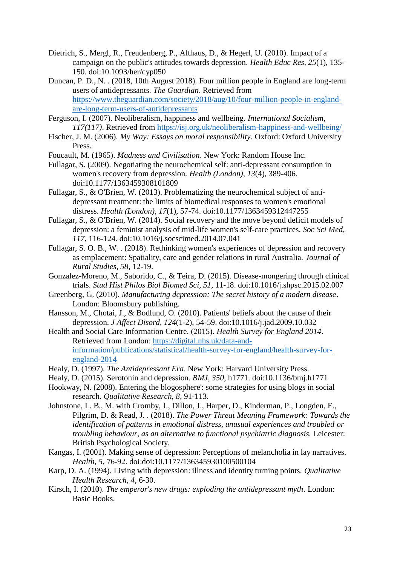- <span id="page-22-15"></span>Dietrich, S., Mergl, R., Freudenberg, P., Althaus, D., & Hegerl, U. (2010). Impact of a campaign on the public's attitudes towards depression. *Health Educ Res, 25*(1), 135- 150. doi:10.1093/her/cyp050
- <span id="page-22-1"></span>Duncan, P. D., N. . (2018, 10th August 2018). Four million people in England are long-term users of antidepressants. *The Guardian*. Retrieved from [https://www.theguardian.com/society/2018/aug/10/four-million-people-in-england](https://www.theguardian.com/society/2018/aug/10/four-million-people-in-england-are-long-term-users-of-antidepressants)[are-long-term-users-of-antidepressants](https://www.theguardian.com/society/2018/aug/10/four-million-people-in-england-are-long-term-users-of-antidepressants)
- <span id="page-22-19"></span>Ferguson, I. (2007). Neoliberalism, happiness and wellbeing. *International Socialism, 117(117)*. Retrieved from<https://isj.org.uk/neoliberalism-happiness-and-wellbeing/>
- <span id="page-22-5"></span>Fischer, J. M. (2006). *My Way: Essays on moral responsibility*. Oxford: Oxford University Press.
- <span id="page-22-4"></span>Foucault, M. (1965). *Madness and Civilisation*. New York: Random House Inc.
- <span id="page-22-13"></span>Fullagar, S. (2009). Negotiating the neurochemical self: anti-depressant consumption in women's recovery from depression. *Health (London), 13*(4), 389-406. doi:10.1177/1363459308101809
- <span id="page-22-12"></span>Fullagar, S., & O'Brien, W. (2013). Problematizing the neurochemical subject of antidepressant treatment: the limits of biomedical responses to women's emotional distress. *Health (London), 17*(1), 57-74. doi:10.1177/1363459312447255
- <span id="page-22-6"></span>Fullagar, S., & O'Brien, W. (2014). Social recovery and the move beyond deficit models of depression: a feminist analysis of mid-life women's self-care practices. *Soc Sci Med, 117*, 116-124. doi:10.1016/j.socscimed.2014.07.041
- <span id="page-22-11"></span>Fullagar, S. O. B., W. . (2018). Rethinking women's experiences of depression and recovery as emplacement: Spatiality, care and gender relations in rural Australia. *Journal of Rural Studies, 58*, 12-19.
- <span id="page-22-3"></span>Gonzalez-Moreno, M., Saborido, C., & Teira, D. (2015). Disease-mongering through clinical trials. *Stud Hist Philos Biol Biomed Sci, 51*, 11-18. doi:10.1016/j.shpsc.2015.02.007
- <span id="page-22-7"></span>Greenberg, G. (2010). *Manufacturing depression: The secret history of a modern disease*. London: Bloomsbury publishing.
- <span id="page-22-16"></span>Hansson, M., Chotai, J., & Bodlund, O. (2010). Patients' beliefs about the cause of their depression. *J Affect Disord, 124*(1-2), 54-59. doi:10.1016/j.jad.2009.10.032
- <span id="page-22-0"></span>Health and Social Care Information Centre. (2015). *Health Survey for England 2014*. Retrieved from London: [https://digital.nhs.uk/data-and](https://digital.nhs.uk/data-and-information/publications/statistical/health-survey-for-england/health-survey-for-england-2014)[information/publications/statistical/health-survey-for-england/health-survey-for](https://digital.nhs.uk/data-and-information/publications/statistical/health-survey-for-england/health-survey-for-england-2014)[england-2014](https://digital.nhs.uk/data-and-information/publications/statistical/health-survey-for-england/health-survey-for-england-2014)
- <span id="page-22-8"></span>Healy, D. (1997). *The Antidepressant Era*. New York: Harvard University Press.
- <span id="page-22-9"></span>Healy, D. (2015). Serotonin and depression. *BMJ, 350*, h1771. doi:10.1136/bmj.h1771
- <span id="page-22-17"></span>Hookway, N. (2008). Entering the blogosphere': some strategies for using blogs in social research. *Qualitative Research, 8*, 91-113.
- <span id="page-22-2"></span>Johnstone, L. B., M. with Cromby, J., Dillon, J., Harper, D., Kinderman, P., Longden, E., Pilgrim, D. & Read, J. . (2018). *The Power Threat Meaning Framework: Towards the identification of patterns in emotional distress, unusual experiences and troubled or troubling behaviour, as an alternative to functional psychiatric diagnosis.* Leicester: British Psychological Society.
- <span id="page-22-18"></span>Kangas, I. (2001). Making sense of depression: Perceptions of melancholia in lay narratives. *Health, 5*, 76-92. doi:doi:10.1177/136345930100500104
- <span id="page-22-14"></span>Karp, D. A. (1994). Living with depression: illness and identity turning points. *Qualitative Health Research, 4*, 6-30.
- <span id="page-22-10"></span>Kirsch, I. (2010). *The emperor's new drugs: exploding the antidepressant myth*. London: Basic Books.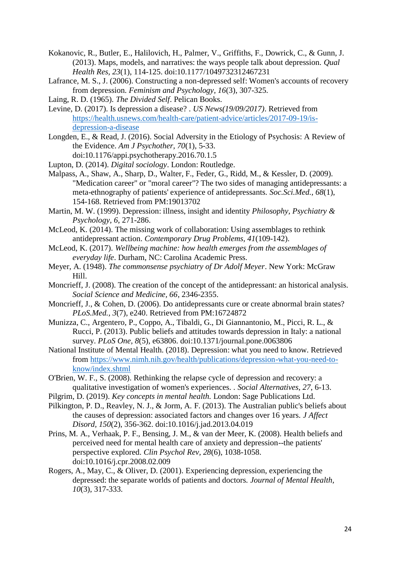- <span id="page-23-5"></span>Kokanovic, R., Butler, E., Halilovich, H., Palmer, V., Griffiths, F., Dowrick, C., & Gunn, J. (2013). Maps, models, and narratives: the ways people talk about depression. *Qual Health Res, 23*(1), 114-125. doi:10.1177/1049732312467231
- <span id="page-23-15"></span>Lafrance, M. S., J. (2006). Constructing a non-depressed self: Women's accounts of recovery from depression. *Feminism and Psychology, 16*(3), 307-325.
- <span id="page-23-2"></span>Laing, R. D. (1965). *The Divided Self*. Pelican Books.
- <span id="page-23-10"></span>Levine, D. (2017). Is depression a disease? . *US News(19/09/2017)*. Retrieved from [https://health.usnews.com/health-care/patient-advice/articles/2017-09-19/is](https://health.usnews.com/health-care/patient-advice/articles/2017-09-19/is-depression-a-disease)[depression-a-disease](https://health.usnews.com/health-care/patient-advice/articles/2017-09-19/is-depression-a-disease)
- <span id="page-23-0"></span>Longden, E., & Read, J. (2016). Social Adversity in the Etiology of Psychosis: A Review of the Evidence. *Am J Psychother, 70*(1), 5-33. doi:10.1176/appi.psychotherapy.2016.70.1.5
- <span id="page-23-19"></span>Lupton, D. (2014). *Digital sociology*. London: Routledge.
- <span id="page-23-14"></span>Malpass, A., Shaw, A., Sharp, D., Walter, F., Feder, G., Ridd, M., & Kessler, D. (2009). "Medication career" or "moral career"? The two sides of managing antidepressants: a meta-ethnography of patients' experience of antidepressants. *Soc.Sci.Med., 68*(1), 154-168. Retrieved from PM:19013702
- <span id="page-23-4"></span>Martin, M. W. (1999). Depression: illness, insight and identity *Philosophy, Psychiatry & Psychology, 6*, 271-286.
- <span id="page-23-13"></span>McLeod, K. (2014). The missing work of collaboration: Using assemblages to rethink antidepressant action. *Contemporary Drug Problems, 41*(109-142).
- <span id="page-23-6"></span>McLeod, K. (2017). *Wellbeing machine: how health emerges from the assemblages of everyday life*. Durham, NC: Carolina Academic Press.
- <span id="page-23-3"></span>Meyer, A. (1948). *The commonsense psychiatry of Dr Adolf Meyer*. New York: McGraw Hill.
- <span id="page-23-7"></span>Moncrieff, J. (2008). The creation of the concept of the antidepressant: an historical analysis. *Social Science and Medicine, 66*, 2346-2355.
- <span id="page-23-8"></span>Moncrieff, J., & Cohen, D. (2006). Do antidepressants cure or create abnormal brain states? *PLoS.Med., 3*(7), e240. Retrieved from PM:16724872
- <span id="page-23-16"></span>Munizza, C., Argentero, P., Coppo, A., Tibaldi, G., Di Giannantonio, M., Picci, R. L., & Rucci, P. (2013). Public beliefs and attitudes towards depression in Italy: a national survey. *PLoS One, 8*(5), e63806. doi:10.1371/journal.pone.0063806
- <span id="page-23-9"></span>National Institute of Mental Health. (2018). Depression: what you need to know. Retrieved from [https://www.nimh.nih.gov/health/publications/depression-what-you-need-to](https://www.nimh.nih.gov/health/publications/depression-what-you-need-to-know/index.shtml)[know/index.shtml](https://www.nimh.nih.gov/health/publications/depression-what-you-need-to-know/index.shtml)
- <span id="page-23-11"></span>O'Brien, W. F., S. (2008). Rethinking the relapse cycle of depression and recovery: a qualitative investigation of women's experiences. . *Social Alternatives, 27*, 6-13.
- <span id="page-23-1"></span>Pilgrim, D. (2019). *Key concepts in mental health.* London: Sage Publications Ltd.
- <span id="page-23-17"></span>Pilkington, P. D., Reavley, N. J., & Jorm, A. F. (2013). The Australian public's beliefs about the causes of depression: associated factors and changes over 16 years. *J Affect Disord, 150*(2), 356-362. doi:10.1016/j.jad.2013.04.019
- <span id="page-23-18"></span>Prins, M. A., Verhaak, P. F., Bensing, J. M., & van der Meer, K. (2008). Health beliefs and perceived need for mental health care of anxiety and depression--the patients' perspective explored. *Clin Psychol Rev, 28*(6), 1038-1058. doi:10.1016/j.cpr.2008.02.009
- <span id="page-23-12"></span>Rogers, A., May, C., & Oliver, D. (2001). Experiencing depression, experiencing the depressed: the separate worlds of patients and doctors. *Journal of Mental Health, 10*(3), 317-333.